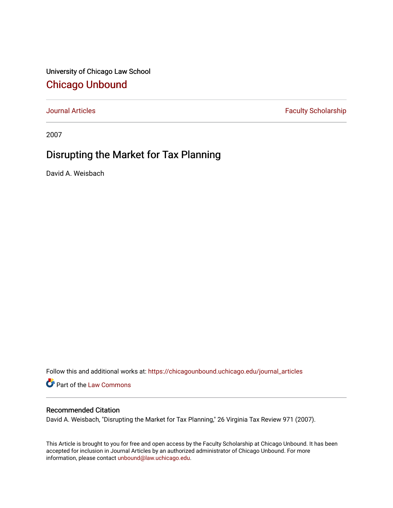University of Chicago Law School [Chicago Unbound](https://chicagounbound.uchicago.edu/)

[Journal Articles](https://chicagounbound.uchicago.edu/journal_articles) **Faculty Scholarship Faculty Scholarship** 

2007

# Disrupting the Market for Tax Planning

David A. Weisbach

Follow this and additional works at: [https://chicagounbound.uchicago.edu/journal\\_articles](https://chicagounbound.uchicago.edu/journal_articles?utm_source=chicagounbound.uchicago.edu%2Fjournal_articles%2F2031&utm_medium=PDF&utm_campaign=PDFCoverPages) 

Part of the [Law Commons](http://network.bepress.com/hgg/discipline/578?utm_source=chicagounbound.uchicago.edu%2Fjournal_articles%2F2031&utm_medium=PDF&utm_campaign=PDFCoverPages)

### Recommended Citation

David A. Weisbach, "Disrupting the Market for Tax Planning," 26 Virginia Tax Review 971 (2007).

This Article is brought to you for free and open access by the Faculty Scholarship at Chicago Unbound. It has been accepted for inclusion in Journal Articles by an authorized administrator of Chicago Unbound. For more information, please contact [unbound@law.uchicago.edu](mailto:unbound@law.uchicago.edu).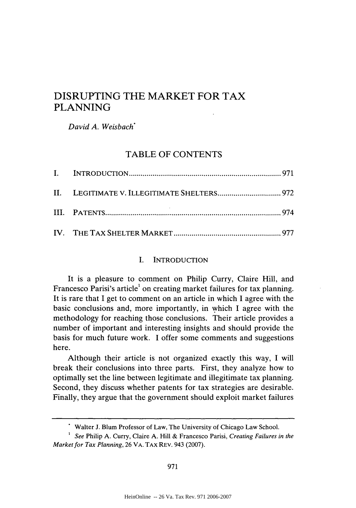# DISRUPTING THE MARKET FOR TAX PLANNING

*David A. Weisbach"*

## TABLE OF CONTENTS

#### I. INTRODUCTION

It is a pleasure to comment on Philip Curry, Claire Hill, and Francesco Parisi's article<sup>1</sup> on creating market failures for tax planning. It is rare that I get to comment on an article in which I agree with the basic conclusions and, more importantly, in which I agree with the methodology for reaching those conclusions. Their article provides a number of important and interesting insights and should provide the basis for much future work. I offer some comments and suggestions here.

Although their article is not organized exactly this way, I will break their conclusions into three parts. First, they analyze how to optimally set the line between legitimate and illegitimate tax planning. Second, they discuss whether patents for tax strategies are desirable. Finally, they argue that the government should exploit market failures

Walter J. Blum Professor of Law, The University of Chicago Law School.

*See* Philip A. Curry, Claire A. Hill & Francesco Parisi, *Creating Failures in the Market for Tax Planning,* 26 VA. TAX REV. 943 (2007).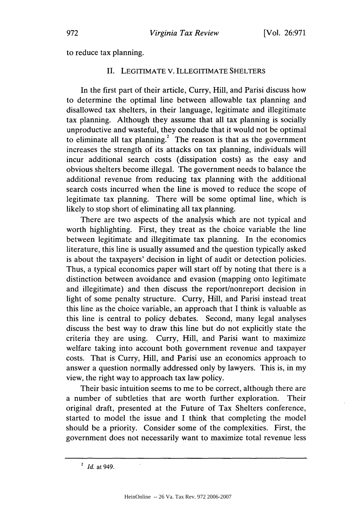to reduce tax planning.

#### II. LEGITIMATE V. ILLEGITIMATE SHELTERS

In the first part of their article, Curry, Hill, and Parisi discuss how to determine the optimal line between allowable tax planning and disallowed tax shelters, in their language, legitimate and illegitimate tax planning. Although they assume that all tax planning is socially unproductive and wasteful, they conclude that it would not be optimal to eliminate all tax planning.<sup>2</sup> The reason is that as the government increases the strength of its attacks on tax planning, individuals will incur additional search costs (dissipation costs) as the easy and obvious shelters become illegal. The government needs to balance the additional revenue from reducing tax planning with the additional search costs incurred when the line is moved to reduce the scope of legitimate tax planning. There will be some optimal line, which is likely to stop short of eliminating all tax planning.

There are two aspects of the analysis which are not typical and worth highlighting. First, they treat as the choice variable the line between legitimate and illegitimate tax planning. In the economics literature, this line is usually assumed and the question typically asked is about the taxpayers' decision in light of audit or detection policies. Thus, a typical economics paper will start off by noting that there is a distinction between avoidance and evasion (mapping onto legitimate and illegitimate) and then discuss the report/nonreport decision in light of some penalty structure. Curry, Hill, and Parisi instead treat this line as the choice variable, an approach that I think is valuable as this line is central to policy debates. Second, many legal analyses discuss the best way to draw this line but do not explicitly state the criteria they are using. Curry, Hill, and Parisi want to maximize welfare taking into account both government revenue and taxpayer costs. That is Curry, Hill, and Parisi use an economics approach to answer a question normally addressed only by lawyers. This is, in my view, the right way to approach tax law policy.

Their basic intuition seems to me to be correct, although there are a number of subtleties that are worth further exploration. Their original draft, presented at the Future of Tax Shelters conference, started to model the issue and I think that completing the model should be a priority. Consider some of the complexities. First, the government does not necessarily want to maximize total revenue less

*<sup>2</sup> Id.* at 949.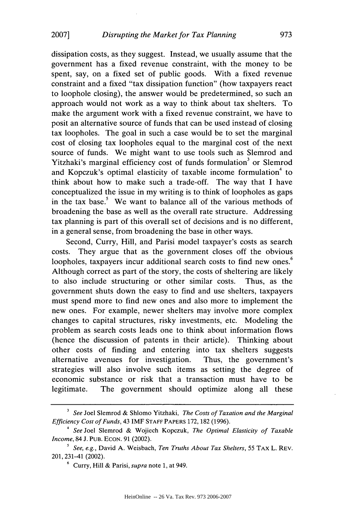dissipation costs, as they suggest. Instead, we usually assume that the government has a fixed revenue constraint, with the money to be spent, say, on a fixed set of public goods. With a fixed revenue constraint and a fixed "tax dissipation function" (how taxpayers react to loophole closing), the answer would be predetermined, so such an approach would not work as a way to think about tax shelters. To make the argument work with a fixed revenue constraint, we have to posit an alternative source of funds that can be used instead of closing tax loopholes. The goal in such a case would be to set the marginal cost of closing tax loopholes equal to the marginal cost of the next source of funds. We might want to use tools such as Slemrod and Yitzhaki's marginal efficiency cost of funds formulation<sup>3</sup> or Slemrod and Kopczuk's optimal elasticity of taxable income formulation<sup>4</sup> to think about how to make such a trade-off. The way that I have conceptualized the issue in my writing is to think of loopholes as gaps in the tax base.<sup>5</sup> We want to balance all of the various methods of broadening the base as well as the overall rate structure. Addressing tax planning is part of this overall set of decisions and is no different, in a general sense, from broadening the base in other ways.

Second, Curry, Hill, and Parisi model taxpayer's costs as search costs. They argue that as the government closes off the obvious loopholes, taxpayers incur additional search costs to find new ones.<sup>6</sup> Although correct as part of the story, the costs of sheltering are likely to also include structuring or other similar costs. Thus, as the government shuts down the easy to find and use shelters, taxpayers must spend more to find new ones and also more to implement the new ones. For example, newer shelters may involve more complex changes to capital structures, risky investments, etc. Modeling the problem as search costs leads one to think about information flows (hence the discussion of patents in their article). Thinking about other costs of finding and entering into tax shelters suggests alternative avenues for investigation. Thus, the government's strategies will also involve such items as setting the degree of economic substance or risk that a transaction must have to be legitimate. The government should optimize along all these

*<sup>3</sup>See* Joel Slemrod & Shlomo Yitzhaki, *The Costs of Taxation and the Marginal Efficiency Cost of Funds,* 43 IMF **STAFF** PAPERS 172, 182 (1996).

*<sup>4</sup>See* Joel Slemrod & Wojiech Kopczuk, *The Optimal Elasticity of Taxable Income,* 84 J. **PUB.** ECON. 91 (2002).

*<sup>5</sup> See, e.g.,* David A. Weisbach, *Ten Truths About Tax Shelters,* 55 TAx L. REV. 201, 231-41 (2002).

**<sup>6</sup>**Curry, Hill & Parisi, *supra* note 1, at 949.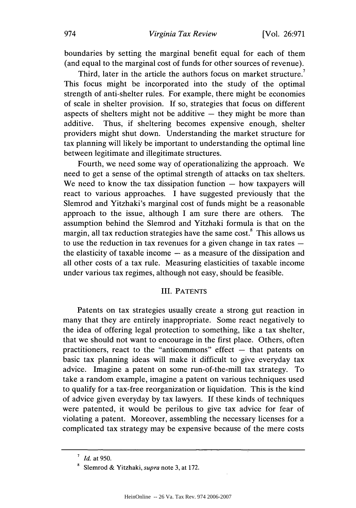boundaries by setting the marginal benefit equal for each of them (and equal to the marginal cost of funds for other sources of revenue).

Third, later in the article the authors focus on market structure.<sup>7</sup> This focus might be incorporated into the study of the optimal strength of anti-shelter rules. For example, there might be economies of scale in shelter provision. If so, strategies that focus on different aspects of shelters might not be additive  $-$  they might be more than additive. Thus, if sheltering becomes expensive enough, shelter providers might shut down. Understanding the market structure for tax planning will likely be important to understanding the optimal line between legitimate and illegitimate structures.

Fourth, we need some way of operationalizing the approach. We need to get a sense of the optimal strength of attacks on tax shelters. We need to know the tax dissipation function  $-$  how taxpayers will react to various approaches. I have suggested previously that the Slemrod and Yitzhaki's marginal cost of funds might be a reasonable approach to the issue, although I am sure there are others. The assumption behind the Slemrod and Yitzhaki formula is that on the margin, all tax reduction strategies have the same cost.<sup>8</sup> This allows us to use the reduction in tax revenues for a given change in tax rates  $$ the elasticity of taxable income  $-$  as a measure of the dissipation and all other costs of a tax rule. Measuring elasticities of taxable income under various tax regimes, although not easy, should be feasible.

### III. PATENTS

Patents on tax strategies usually create a strong gut reaction in many that they are entirely inappropriate. Some react negatively to the idea of offering legal protection to something, like a tax shelter, that we should not want to encourage in the first place. Others, often practitioners, react to the "anticommons" effect  $-$  that patents on basic tax planning ideas will make it difficult to give everyday tax advice. Imagine a patent on some run-of-the-mill tax strategy. To take a random example, imagine a patent on various techniques used to qualify for a tax-free reorganization or liquidation. This is the kind of advice given everyday by tax lawyers. If these kinds of techniques were patented, it would be perilous to give tax advice for fear of violating a patent. Moreover, assembling the necessary licenses for a complicated tax strategy may be expensive because of the mere costs

*<sup>7</sup>Id.* at 950.

**<sup>8</sup>**Slemrod & Yitzhaki, *supra* note 3, at 172.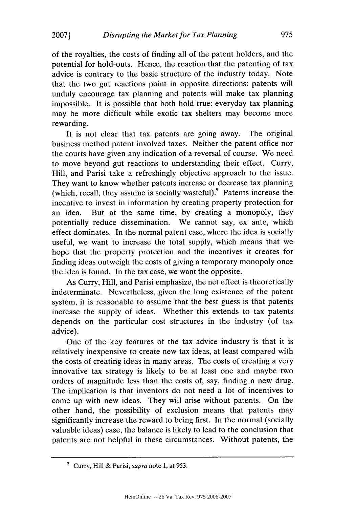**2007]**

of the royalties, the costs of finding all of the patent holders, and the potential for hold-outs. Hence, the reaction that the patenting of tax advice is contrary to the basic structure of the industry today. Note that the two gut reactions point in opposite directions: patents will unduly encourage tax planning and patents will make tax planning impossible. It is possible that both hold true: everyday tax planning may be more difficult while exotic tax shelters may become more rewarding.

It is not clear that tax patents are going away. The original business method patent involved taxes. Neither the patent office nor the courts have given any indication of a reversal of course. We need to move beyond gut reactions to understanding their effect. Curry, Hill, and Parisi take a refreshingly objective approach to the issue. They want to know whether patents increase or decrease tax planning (which, recall, they assume is socially wasteful). Patents increase the incentive to invest in information by creating property protection for an idea. But at the same time, by creating a monopoly, they potentially reduce dissemination. We cannot say, ex ante, which effect dominates. In the normal patent case, where the idea is socially useful, we want to increase the total supply, which means that we hope that the property protection and the incentives it creates for finding ideas outweigh the costs of giving a temporary monopoly once the idea is found. In the tax case, we want the opposite.

As Curry, Hill, and Parisi emphasize, the net effect is theoretically indeterminate. Nevertheless, given the long existence of the patent system, it is reasonable to assume that the best guess is that patents increase the supply of ideas. Whether this extends to tax patents depends on the particular cost structures in the industry (of tax advice).

One of the key features of the tax advice industry is that it is relatively inexpensive to create new tax ideas, at least compared with the costs of creating ideas in many areas. The costs of creating a very innovative tax strategy is likely to be at least one and maybe two orders of magnitude less than the costs of, say, finding a new drug. The implication is that inventors do not need a lot of incentives to come up with new ideas. They will arise without patents. On the other hand, the possibility of exclusion means that patents may significantly increase the reward to being first. In the normal (socially valuable ideas) case, the balance is likely to lead to the conclusion that patents are not helpful in these circumstances. Without patents, the

<sup>&</sup>lt;sup>9</sup> Curry, Hill & Parisi, *supra* note 1, at 953.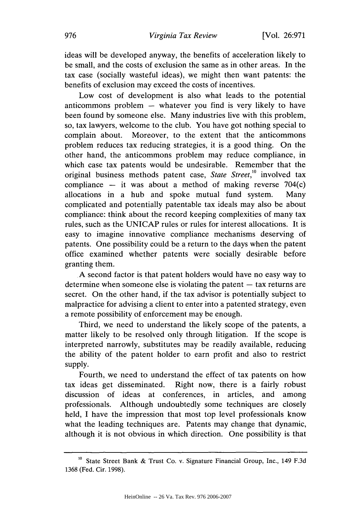ideas will be developed anyway, the benefits of acceleration likely to be small, and the costs of exclusion the same as in other areas. In the tax case (socially wasteful ideas), we might then want patents: the benefits of exclusion may exceed the costs of incentives.

Low cost of development is also what leads to the potential anticommons problem  $-$  whatever you find is very likely to have been found by someone else. Many industries live with this problem, so, tax lawyers, welcome to the club. You have got nothing special to complain about. Moreover, to the extent that the anticommons problem reduces tax reducing strategies, it is a good thing. On the other hand, the anticommons problem may reduce compliance, in which case tax patents would be undesirable. Remember that the original business methods patent case, *State Street,'1* involved tax compliance  $-$  it was about a method of making reverse 704(c) allocations in a hub and spoke mutual fund system. Many complicated and potentially patentable tax ideals may also be about compliance: think about the record keeping complexities of many tax rules, such as the UNICAP rules or rules for interest allocations. It is easy to imagine innovative compliance mechanisms deserving of patents. One possibility could be a return to the days when the patent office examined whether patents were socially desirable before granting them.

A second factor is that patent holders would have no easy way to determine when someone else is violating the patent  $-$  tax returns are secret. On the other hand, if the tax advisor is potentially subject to malpractice for advising a client to enter into a patented strategy, even a remote possibility of enforcement may be enough.

Third, we need to understand the likely scope of the patents, a matter likely to be resolved only through litigation. If the scope is interpreted narrowly, substitutes may be readily available, reducing the ability of the patent holder to earn profit and also to restrict supply.

Fourth, we need to understand the effect of tax patents on how tax ideas get disseminated. Right now, there is a fairly robust discussion of ideas at conferences, in articles, and among professionals. Although undoubtedly some techniques are closely held, I have the impression that most top level professionals know what the leading techniques are. Patents may change that dynamic, although it is not obvious in which direction. One possibility is that

**<sup>10</sup>** State Street Bank & Trust Co. v. Signature Financial Group, Inc., 149 F.3d 1368 (Fed. Cir. 1998).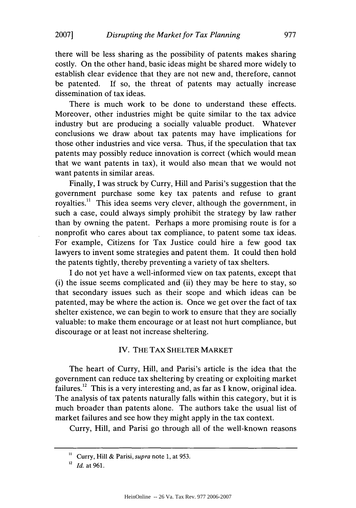there will be less sharing as the possibility of patents makes sharing costly. On the other hand, basic ideas might be shared more widely to establish clear evidence that they are not new and, therefore, cannot be patented. If so, the threat of patents may actually increase dissemination of tax ideas.

There is much work to be done to understand these effects. Moreover, other industries might be quite similar to the tax advice industry but are producing a socially valuable product. Whatever conclusions we draw about tax patents may have implications for those other industries and vice versa. Thus, if the speculation that tax patents may possibly reduce innovation is correct (which would mean that we want patents in tax), it would also mean that we would not want patents in similar areas.

Finally, I was struck by Curry, Hill and Parisi's suggestion that the government purchase some key tax patents and refuse to grant rovalties.<sup>11</sup> This idea seems very clever, although the government, in such a case, could always simply prohibit the strategy by law rather than by owning the patent. Perhaps a more promising route is for a nonprofit who cares about tax compliance, to patent some tax ideas. For example, Citizens for Tax Justice could hire a few good tax lawyers to invent some strategies and patent them. It could then hold the patents tightly, thereby preventing a variety of tax shelters.

I do not yet have a well-informed view on tax patents, except that (i) the issue seems complicated and (ii) they may be here to stay, so that secondary issues such as their scope and which ideas can be patented, may be where the action is. Once we get over the fact of tax shelter existence, we can begin to work to ensure that they are socially valuable: to make them encourage or at least not hurt compliance, but discourage or at least not increase sheltering.

#### IV. THE TAX SHELTER MARKET

The heart of Curry, Hill, and Parisi's article is the idea that the government can reduce tax sheltering by creating or exploiting market failures.<sup>12</sup> This is a very interesting and, as far as I know, original idea. The analysis of tax patents naturally falls within this category, but it is much broader than patents alone. The authors take the usual list of market failures and see how they might apply in the tax context.

Curry, Hill, and Parisi go through all of the well-known reasons

<sup>&</sup>lt;sup>11</sup> Curry, Hill & Parisi, *supra* note 1, at 953.

 $12$ *Id.* at 961.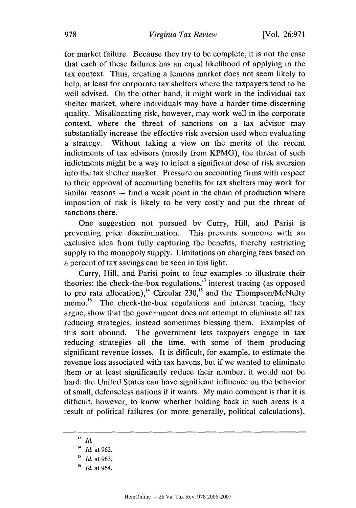for market failure. Because they try to be complete, it is not the case that each of these failures has an equal likelihood of applying in the tax context. Thus, creating a lemons market does not seem likely to help, at least for corporate tax shelters where the taxpayers tend to be well advised. On the other hand, it might work in the individual tax shelter market, where individuals may have a harder time discerning quality. Misallocating risk, however, may work well in the corporate context, where the threat of sanctions on a tax advisor may substantially increase the effective risk aversion used when evaluating a strategy. Without taking a view on the merits of the recent indictments of tax advisors (mostly from KPMG), the threat of such indictments might be a way to inject a significant dose of risk aversion into the tax shelter market. Pressure on accounting firms with respect to their approval of accounting benefits for tax shelters may work for  $s$ imilar reasons  $-$  find a weak point in the chain of production where imposition of risk is likely to be very costly and put the threat of sanctions there.

One suggestion not pursued by Curry, Hill, and Parisi is preventing price discrimination. This prevents someone with an exclusive idea from fully capturing the benefits, thereby restricting supply to the monopoly supply. Limitations on charging fees based on a percent of tax savings can be seen in this light.

Curry, Hill, and Parisi point to four examples to illustrate their theories: the check-the-box regulations, $^{13}$  interest tracing (as opposed to pro rata allocation),<sup>14</sup> Circular 230,<sup>15</sup> and the Thompson/McNulty memo.<sup>16</sup> The check-the-box regulations and interest tracing, they argue, show that the government does not attempt to eliminate all tax reducing strategies, instead sometimes blessing them. Examples of this sort abound. The government lets taxpayers engage in tax reducing strategies all the time, with some of them producing significant revenue losses. It is difficult, for example, to estimate the revenue loss associated with tax havens, but if we wanted to eliminate them or at least significantly reduce their number, it would not be hard: the United States can have significant influence on the behavior of small, defenseless nations if it wants. My main comment is that it is difficult, however, to know whether holding back in such areas is a result of political failures (or more generally, political calculations),

**<sup>13</sup>** *Id.*

*<sup>14</sup> Id.* at 962.

*<sup>15</sup>Id.* at 963.

**<sup>16</sup>***Id.* at 964.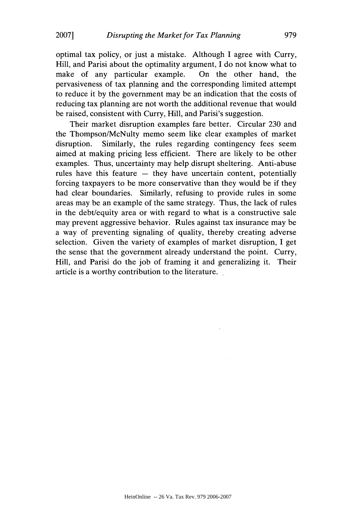**20071**

optimal tax policy, or just a mistake. Although I agree with Curry, Hill, and Parisi about the optimality argument, I do not know what to make of any particular example. On the other hand, the pervasiveness of tax planning and the corresponding limited attempt to reduce it by the government may be an indication that the costs of reducing tax planning are not worth the additional revenue that would be raised, consistent with Curry, Hill, and Parisi's suggestion.

Their market disruption examples fare better. Circular 230 and the Thompson/McNulty memo seem like clear examples of market disruption. Similarly, the rules regarding contingency fees seem aimed at making pricing less efficient. There are likely to be other examples. Thus, uncertainty may help disrupt sheltering. Anti-abuse rules have this feature – they have uncertain content, potentially forcing taxpayers to be more conservative than they would be if they had clear boundaries. Similarly, refusing to provide rules in some areas may be an example of the same strategy. Thus, the lack of rules in the debt/equity area or with regard to what is a constructive sale may prevent aggressive behavior. Rules against tax insurance may be a way of preventing signaling of quality, thereby creating adverse selection. Given the variety of examples of market disruption, I get the sense that the government already understand the point. Curry, Hill, and Parisi do the job of framing it and generalizing it. Their article is a worthy contribution to the literature.